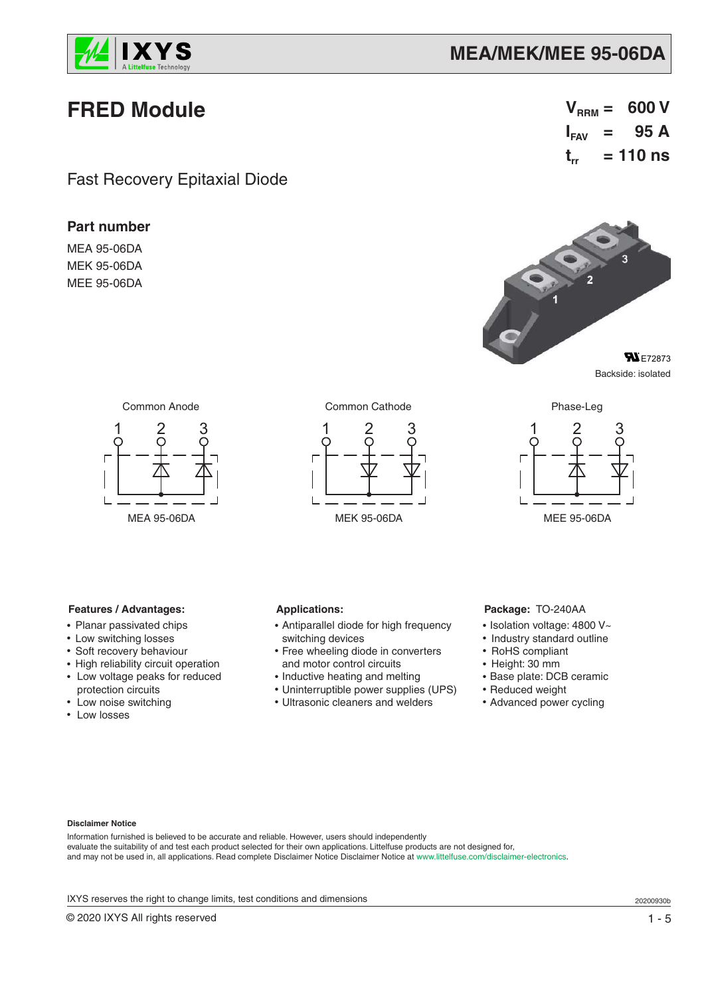

## **MEA/MEK/MEE 95-06DA**

# **FRED Module**

Fast Recovery Epitaxial Diode

## **Part number**

MEA 95-06DA MEK 95-06DA MEE 95-06DA



Backside: isolated



Common Anode Common Cathode Phase-Leg





**Features / Advantages:**

- Planar passivated chips
- Low switching losses
- Soft recovery behaviour
- High reliability circuit operation
- Low voltage peaks for reduced
- protection circuits • Low noise switching
- Low losses

#### **Applications:**

- Antiparallel diode for high frequency switching devices
- Free wheeling diode in converters and motor control circuits
- Inductive heating and melting
- Uninterruptible power supplies (UPS)
- Ultrasonic cleaners and welders

### **Package:** TO-240AA

- Isolation voltage: 4800 V~
- Industry standard outline
- RoHS compliant
- Height: 30 mm
- Base plate: DCB ceramic
- Reduced weight
- Advanced power cycling

#### **Disclaimer Notice**

Information furnished is believed to be accurate and reliable. However, users should independently evaluate the suitability of and test each product selected for their own applications. Littelfuse products are not designed for, and may not be used in, all applications. Read complete Disclaimer Notice Disclaimer Notice at www.littelfuse.com/disclaimer-electronics.

IXYS reserves the right to change limits, test conditions and dimensions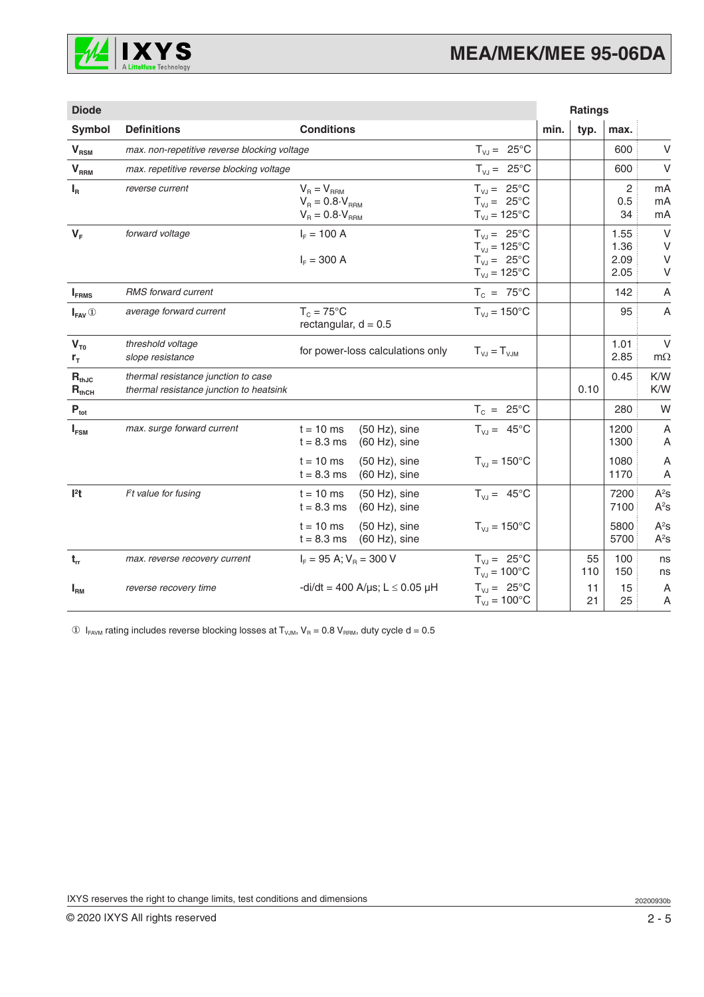

| <b>Diode</b>             |                                                                                |                                                                           |                                                                                            |      | <b>Ratings</b> |                              |                            |
|--------------------------|--------------------------------------------------------------------------------|---------------------------------------------------------------------------|--------------------------------------------------------------------------------------------|------|----------------|------------------------------|----------------------------|
| Symbol                   | <b>Definitions</b>                                                             | <b>Conditions</b>                                                         |                                                                                            | min. | typ.           | max.                         |                            |
| $V_{RSM}$                | max. non-repetitive reverse blocking voltage                                   |                                                                           | $T_{VJ} = 25^{\circ}C$                                                                     |      |                | 600                          | V                          |
| V <sub>RRM</sub>         | max. repetitive reverse blocking voltage                                       |                                                                           | $T_{VJ} = 25^{\circ}C$                                                                     |      |                | 600                          | V                          |
| $I_R$                    | reverse current                                                                | $V_R = V_{RRM}$<br>$V_R = 0.8 \cdot V_{RRM}$<br>$V_B = 0.8 \cdot V_{BBM}$ | $T_{VJ} = 25^{\circ}C$<br>$T_{VJ} = 25^{\circ}C$<br>$T_{VJ} = 125^{\circ}C$                |      |                | 2<br>0.5<br>34               | mA<br>mA<br>mA             |
| $V_F$                    | forward voltage                                                                | $I_F = 100 A$<br>$I_F = 300 A$                                            | $T_{VJ} = 25^{\circ}C$<br>$T_{VJ} = 125$ °C<br>$T_{VJ} = 25^{\circ}C$<br>$T_{VJ} = 125$ °C |      |                | 1.55<br>1.36<br>2.09<br>2.05 | $\vee$<br>$\vee$<br>V<br>V |
| $I_{FRMS}$               | <b>RMS</b> forward current                                                     |                                                                           | $T_c = 75^{\circ}C$                                                                        |      |                | 142                          | Α                          |
| $I_{FAV}$ <sup>①</sup>   | average forward current                                                        | $T_c = 75^{\circ}$ C<br>rectangular, $d = 0.5$                            | $T_{\text{VJ}} = 150^{\circ}$ C                                                            |      |                | 95                           | A                          |
| $V_{T0}$<br>$r_{\tau}$   | threshold voltage<br>slope resistance                                          | for power-loss calculations only                                          | $T_{V,J} = T_{V,JM}$                                                                       |      |                | 1.01<br>2.85                 | $\vee$<br>$m\Omega$        |
| $R_{thJC}$<br>$R_{thCH}$ | thermal resistance junction to case<br>thermal resistance junction to heatsink |                                                                           |                                                                                            |      | 0.10           | 0.45                         | K/W<br>K/W                 |
| $P_{\text{tot}}$         |                                                                                |                                                                           | $T_c = 25^{\circ}C$                                                                        |      |                | 280                          | W                          |
| $I_{FSM}$                | max. surge forward current                                                     | $t = 10$ ms<br>$(50 Hz)$ , sine<br>$t = 8.3$ ms<br>$(60 Hz)$ , sine       | $T_{VJ} = 45^{\circ}C$                                                                     |      |                | 1200<br>1300                 | A<br>Α                     |
|                          |                                                                                | $t = 10$ ms<br>$(50 Hz)$ , sine<br>$t = 8.3$ ms<br>$(60 Hz)$ , sine       | $T_{VJ} = 150^{\circ}C$                                                                    |      |                | 1080<br>1170                 | Α<br>A                     |
| $l2$ t                   | Pt value for fusing                                                            | $t = 10$ ms<br>(50 Hz), sine<br>$t = 8.3$ ms<br>$(60 Hz)$ , sine          | $T_{VJ} = 45^{\circ}C$                                                                     |      |                | 7200<br>7100                 | $A^2s$<br>$A^2s$           |
|                          |                                                                                | $t = 10$ ms<br>$(50 Hz)$ , sine<br>$t = 8.3$ ms<br>$(60 Hz)$ , sine       | $T_{\text{VJ}} = 150^{\circ}$ C                                                            |      |                | 5800<br>5700                 | $A^2s$<br>$A^2s$           |
| $t_{rr}$                 | max. reverse recovery current                                                  | $I_F = 95 \text{ A}; V_R = 300 \text{ V}$                                 | $T_{V,J} = 25^{\circ}C$<br>$T_{VJ} = 100^{\circ}C$                                         |      | 55<br>110      | 100<br>150                   | ns<br>ns                   |
| $I_{\rm RM}$             | reverse recovery time                                                          | -di/dt = 400 A/ $\mu$ s; L $\leq$ 0.05 $\mu$ H                            | $T_{VJ} = 25^{\circ}C$<br>$T_{VJ} = 100^{\circ}C$                                          |      | 11<br>21       | 15<br>25                     | A<br>Α                     |

 $\circledR$  I<sub>FAVM</sub> rating includes reverse blocking losses at T<sub>VJM</sub>, V<sub>R</sub> = 0.8 V<sub>RRM</sub>, duty cycle d = 0.5

IXYS reserves the right to change limits, test conditions and dimensions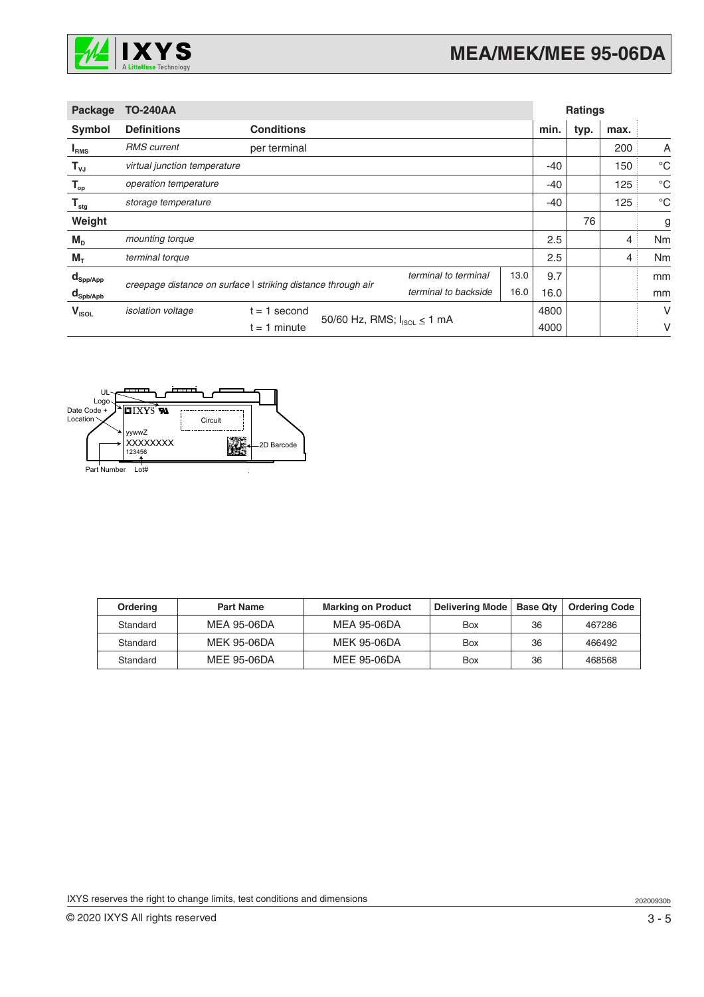

| <b>Package</b>                                 | <b>TO-240AA</b>                                                                                                              |                                                      |  | <b>Ratings</b> |      |                |             |      |   |
|------------------------------------------------|------------------------------------------------------------------------------------------------------------------------------|------------------------------------------------------|--|----------------|------|----------------|-------------|------|---|
| Symbol                                         | <b>Definitions</b>                                                                                                           | <b>Conditions</b>                                    |  |                |      | min.           | typ.        | max. |   |
| <b>IRMS</b>                                    | <b>RMS</b> current                                                                                                           | per terminal                                         |  |                |      |                | 200         | A    |   |
| $\mathsf{T}_{\mathsf{vJ}}$                     | virtual junction temperature                                                                                                 |                                                      |  | $-40$          |      | 150            | $^{\circ}C$ |      |   |
| $\mathsf{T}_{\scriptscriptstyle{\mathsf{op}}}$ | operation temperature                                                                                                        |                                                      |  | $-40$          |      | 125            | $^{\circ}C$ |      |   |
| $\mathsf{T}_{\text{stg}}$                      | storage temperature                                                                                                          |                                                      |  | $-40$          |      | 125            | $^{\circ}C$ |      |   |
| Weight                                         |                                                                                                                              |                                                      |  |                |      |                | 76          |      | g |
| $M_{D}$                                        | mounting torque                                                                                                              |                                                      |  | 2.5            |      | 4              | Nm          |      |   |
| $M_T$                                          | terminal torque                                                                                                              |                                                      |  | 2.5            |      | $\overline{4}$ | Nm          |      |   |
| $\mathsf{d}_{\mathsf{Spp/App}}$                | terminal to terminal<br>13.0<br>creepage distance on surface   striking distance through air<br>terminal to backside<br>16.0 |                                                      |  | 9.7            |      |                | mm          |      |   |
| $\mathbf{d}_{\mathsf{Spb/Apb}}$                |                                                                                                                              |                                                      |  | 16.0           |      |                | mm          |      |   |
| $V_{ISOL}$                                     | isolation voltage                                                                                                            | t = 1 second                                         |  |                | 4800 |                |             | V    |   |
|                                                |                                                                                                                              | 50/60 Hz, RMS; $I_{ISOL} \le 1$ mA<br>$t = 1$ minute |  | 4000           |      |                | ٧           |      |   |



| <b>Ordering</b> | <b>Part Name</b>   | <b>Marking on Product</b> | Delivering Mode | <b>Base Qtv</b> | <b>Ordering Code</b> |
|-----------------|--------------------|---------------------------|-----------------|-----------------|----------------------|
| Standard        | MEA 95-06DA        | MEA 95-06DA               | Box             | 36              | 467286               |
| Standard        | <b>MEK 95-06DA</b> | MEK 95-06DA               | Box             | 36              | 466492               |
| Standard        | MEE 95-06DA        | MEE 95-06DA               | Box             | 36              | 468568               |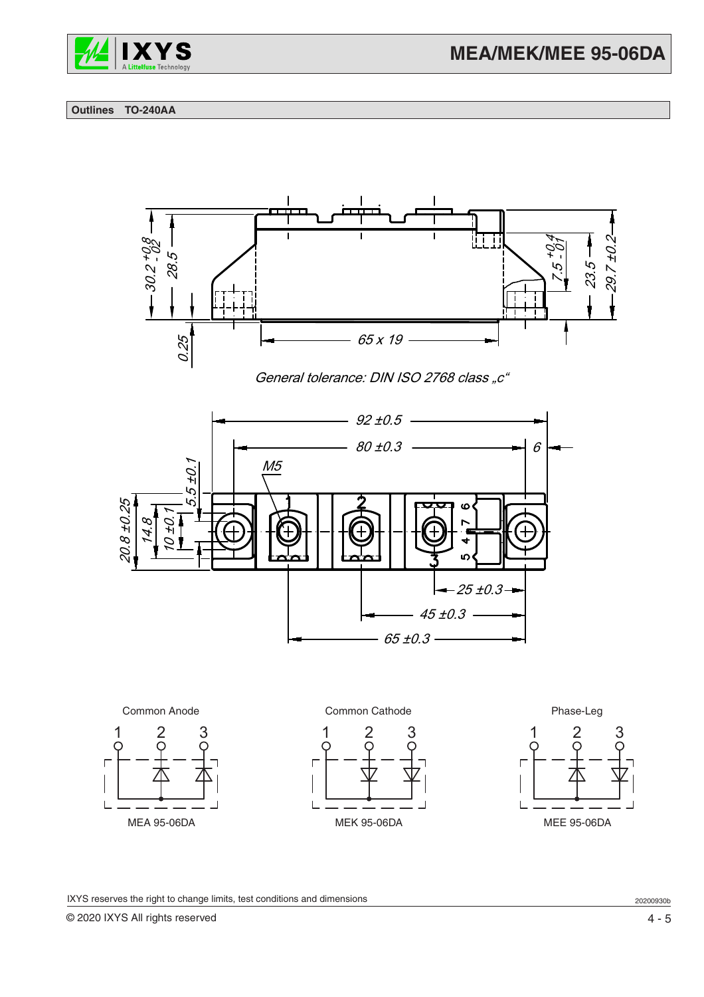

#### **Outlines TO-240AA**



General tolerance: DIN ISO 2768 class "c"





IXYS reserves the right to change limits, test conditions and dimensions